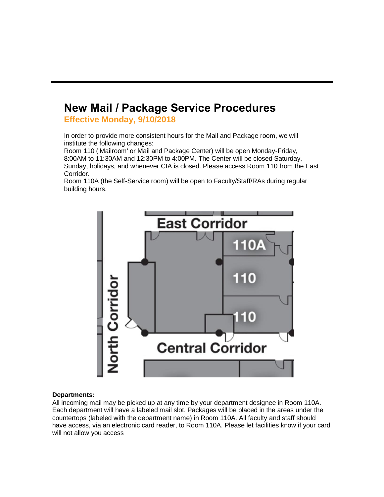## **New Mail / Package Service Procedures**

**Effective Monday, 9/10/2018**

In order to provide more consistent hours for the Mail and Package room, we will institute the following changes:

Room 110 ('Mailroom' or Mail and Package Center) will be open Monday-Friday, 8:00AM to 11:30AM and 12:30PM to 4:00PM. The Center will be closed Saturday, Sunday, holidays, and whenever CIA is closed. Please access Room 110 from the East Corridor.

Room 110A (the Self-Service room) will be open to Faculty/Staff/RAs during regular building hours.



## **Departments:**

All incoming mail may be picked up at any time by your department designee in Room 110A. Each department will have a labeled mail slot. Packages will be placed in the areas under the countertops (labeled with the department name) in Room 110A. All faculty and staff should have access, via an electronic card reader, to Room 110A. Please let facilities know if your card will not allow you access